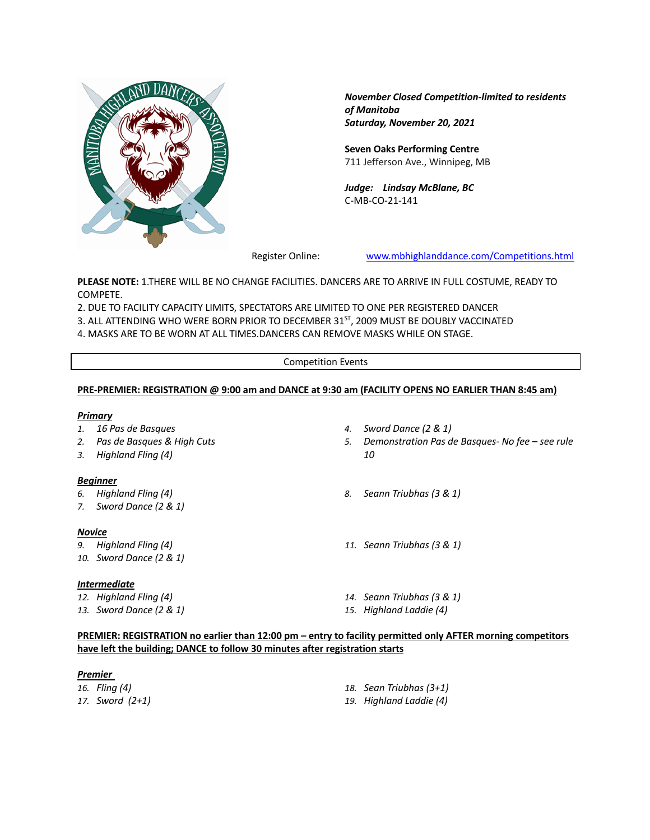

*November Closed Competition-limited to residents of Manitoba Saturday, November 20, 2021*

**Seven Oaks Performing Centre** 711 Jefferson Ave., Winnipeg, MB

*Judge: Lindsay McBlane, BC* C-MB-CO-21-141

Register Online: www.mbhighlanddance.com/Competitions.html

**PLEASE NOTE:** 1.THERE WILL BE NO CHANGE FACILITIES. DANCERS ARE TO ARRIVE IN FULL COSTUME, READY TO COMPETE.

2. DUE TO FACILITY CAPACITY LIMITS, SPECTATORS ARE LIMITED TO ONE PER REGISTERED DANCER

3. ALL ATTENDING WHO WERE BORN PRIOR TO DECEMBER 31<sup>ST</sup>, 2009 MUST BE DOUBLY VACCINATED

4. MASKS ARE TO BE WORN AT ALL TIMES.DANCERS CAN REMOVE MASKS WHILE ON STAGE.

Competition Events

## **PRE-PREMIER: REGISTRATION @ 9:00 am and DANCE at 9:30 am (FACILITY OPENS NO EARLIER THAN 8:45 am)**

### *Primary*

- *1. 16 Pas de Basques*
- *2. Pas de Basques & High Cuts*
- *3. Highland Fling (4)*

### *Beginner*

- *6. Highland Fling (4)*
- *7. Sword Dance (2 & 1)*

### *Novice*

- *9. Highland Fling (4)*
- *10. Sword Dance (2 & 1)*

### *Intermediate*

- *12. Highland Fling (4)*
- *13. Sword Dance (2 & 1)*
- *4. Sword Dance (2 & 1)*
- *5. Demonstration Pas de Basques- No fee – see rule 10*
- *8. Seann Triubhas (3 & 1)*
- *11. Seann Triubhas (3 & 1)*
- *14. Seann Triubhas (3 & 1)*
- *15. Highland Laddie (4)*

# **PREMIER: REGISTRATION no earlier than 12:00 pm – entry to facility permitted only AFTER morning competitors have left the building; DANCE to follow 30 minutes after registration starts**

### *Premier*

| 16.   Fling (4) | 18. Sean Triubhas (3+1) |
|-----------------|-------------------------|
| 17. Sword (2+1) | 19. Highland Laddie (4) |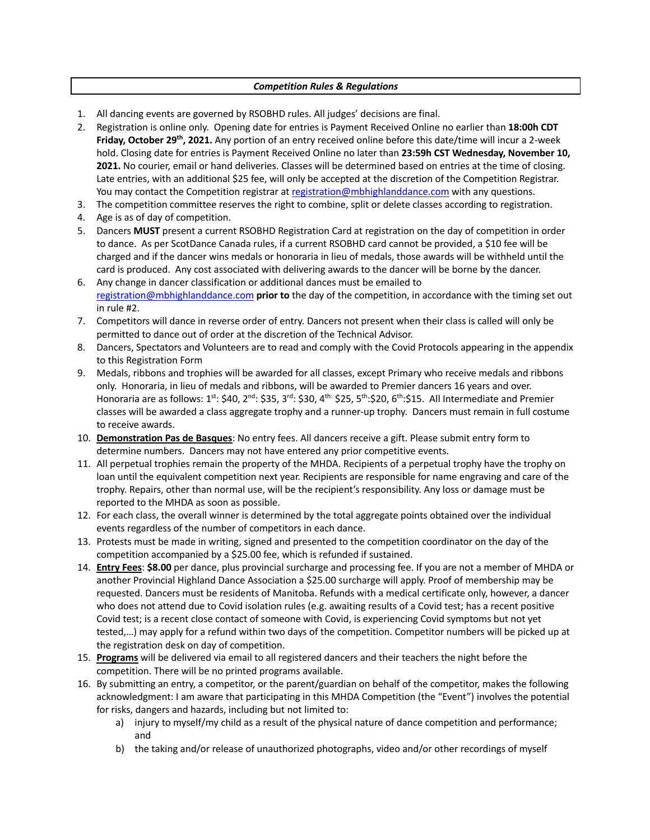# *Competition Rules & Regulations*

- 1. All dancing events are governed by RSOBHD rules. All judges' decisions are final.
- 2. Registration is online only. Opening date for entries is Payment Received Online no earlier than **18:00h CDT Friday, October 29th, 2021.** Any portion of an entry received online before this date/time will incur a 2-week hold. Closing date for entries is Payment Received Online no later than **23:59h CST Wednesday, November 10, 2021.** No courier, email or hand deliveries. Classes will be determined based on entries at the time of closing. Late entries, with an additional \$25 fee, will only be accepted at the discretion of the Competition Registrar. You may contact the Competition registrar at registration@mbhighlanddance.com with any questions.
- 3. The competition committee reserves the right to combine, split or delete classes according to registration.
- 4. Age is as of day of competition.
- 5. Dancers **MUST** present a current RSOBHD Registration Card at registration on the day of competition in order to dance. As per ScotDance Canada rules, if a current RSOBHD card cannot be provided, a \$10 fee will be charged and if the dancer wins medals or honoraria in lieu of medals, those awards will be withheld until the card is produced. Any cost associated with delivering awards to the dancer will be borne by the dancer.
- 6. Any change in dancer classification or additional dances must be emailed to registration@mbhighlanddance.com **prior to** the day of the competition, in accordance with the timing set out in rule #2.
- 7. Competitors will dance in reverse order of entry. Dancers not present when their class is called will only be permitted to dance out of order at the discretion of the Technical Advisor.
- 8. Dancers, Spectators and Volunteers are to read and comply with the Covid Protocols appearing in the appendix to this Registration Form
- 9. Medals, ribbons and trophies will be awarded for all classes, except Primary who receive medals and ribbons only. Honoraria, in lieu of medals and ribbons, will be awarded to Premier dancers 16 years and over. Honoraria are as follows:  $1^{st}$ : \$40,  $2^{nd}$ : \$35,  $3^{rd}$ : \$30,  $4^{th}$ : \$25,  $5^{th}$ :\$20,  $6^{th}$ :\$15. All Intermediate and Premier classes will be awarded a class aggregate trophy and a runner-up trophy. Dancers must remain in full costume to receive awards.
- 10. **Demonstration Pas de Basques**: No entry fees. All dancers receive a gift. Please submit entry form to determine numbers. Dancers may not have entered any prior competitive events.
- 11. All perpetual trophies remain the property of the MHDA. Recipients of a perpetual trophy have the trophy on loan until the equivalent competition next year. Recipients are responsible for name engraving and care of the trophy. Repairs, other than normal use, will be the recipient's responsibility. Any loss or damage must be reported to the MHDA as soon as possible.
- 12. For each class, the overall winner is determined by the total aggregate points obtained over the individual events regardless of the number of competitors in each dance.
- 13. Protests must be made in writing, signed and presented to the competition coordinator on the day of the competition accompanied by a \$25.00 fee, which is refunded if sustained.
- 14. **Entry Fees**: **\$8.00** per dance, plus provincial surcharge and processing fee. If you are not a member of MHDA or another Provincial Highland Dance Association a \$25.00 surcharge will apply. Proof of membership may be requested. Dancers must be residents of Manitoba. Refunds with a medical certificate only, however, a dancer who does not attend due to Covid isolation rules (e.g. awaiting results of a Covid test; has a recent positive Covid test; is a recent close contact of someone with Covid, is experiencing Covid symptoms but not yet tested,…) may apply for a refund within two days of the competition. Competitor numbers will be picked up at the registration desk on day of competition.
- 15. **Programs** will be delivered via email to all registered dancers and their teachers the night before the competition. There will be no printed programs available.
- 16. By submitting an entry, a competitor, or the parent/guardian on behalf of the competitor, makes the following acknowledgment: I am aware that participating in this MHDA Competition (the "Event") involves the potential for risks, dangers and hazards, including but not limited to:
	- a) injury to myself/my child as a result of the physical nature of dance competition and performance; and
	- b) the taking and/or release of unauthorized photographs, video and/or other recordings of myself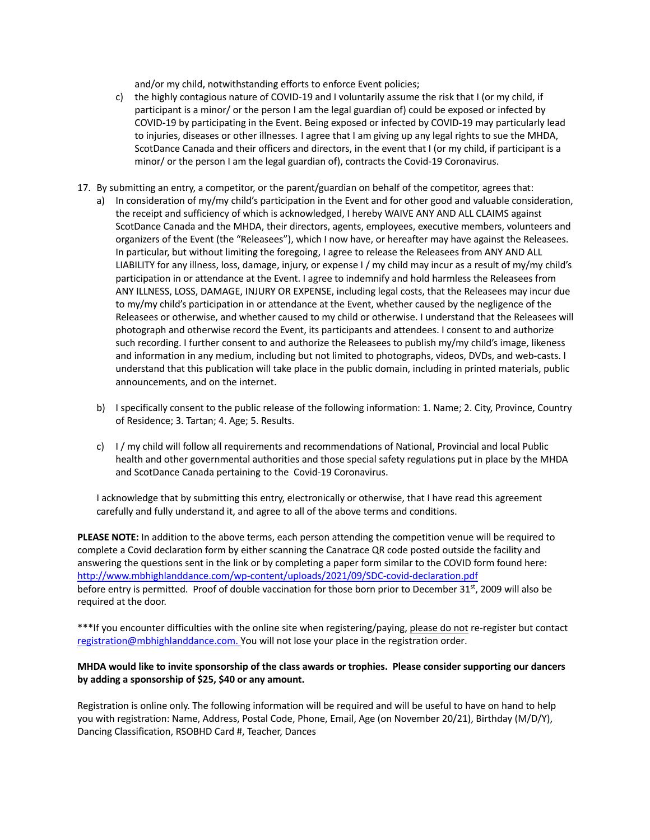and/or my child, notwithstanding efforts to enforce Event policies;

- c) the highly contagious nature of COVID-19 and I voluntarily assume the risk that I (or my child, if participant is a minor/ or the person I am the legal guardian of) could be exposed or infected by COVID-19 by participating in the Event. Being exposed or infected by COVID-19 may particularly lead to injuries, diseases or other illnesses. I agree that I am giving up any legal rights to sue the MHDA, ScotDance Canada and their officers and directors, in the event that I (or my child, if participant is a minor/ or the person I am the legal guardian of), contracts the Covid-19 Coronavirus.
- 17. By submitting an entry, a competitor, or the parent/guardian on behalf of the competitor, agrees that:
	- a) In consideration of my/my child's participation in the Event and for other good and valuable consideration, the receipt and sufficiency of which is acknowledged, I hereby WAIVE ANY AND ALL CLAIMS against ScotDance Canada and the MHDA, their directors, agents, employees, executive members, volunteers and organizers of the Event (the "Releasees"), which I now have, or hereafter may have against the Releasees. In particular, but without limiting the foregoing, I agree to release the Releasees from ANY AND ALL LIABILITY for any illness, loss, damage, injury, or expense I / my child may incur as a result of my/my child's participation in or attendance at the Event. I agree to indemnify and hold harmless the Releasees from ANY ILLNESS, LOSS, DAMAGE, INJURY OR EXPENSE, including legal costs, that the Releasees may incur due to my/my child's participation in or attendance at the Event, whether caused by the negligence of the Releasees or otherwise, and whether caused to my child or otherwise. I understand that the Releasees will photograph and otherwise record the Event, its participants and attendees. I consent to and authorize such recording. I further consent to and authorize the Releasees to publish my/my child's image, likeness and information in any medium, including but not limited to photographs, videos, DVDs, and web-casts. I understand that this publication will take place in the public domain, including in printed materials, public announcements, and on the internet.
	- b) I specifically consent to the public release of the following information: 1. Name; 2. City, Province, Country of Residence; 3. Tartan; 4. Age; 5. Results.
	- c) I / my child will follow all requirements and recommendations of National, Provincial and local Public health and other governmental authorities and those special safety regulations put in place by the MHDA and ScotDance Canada pertaining to the Covid-19 Coronavirus.

I acknowledge that by submitting this entry, electronically or otherwise, that I have read this agreement carefully and fully understand it, and agree to all of the above terms and conditions.

**PLEASE NOTE:** In addition to the above terms, each person attending the competition venue will be required to complete a Covid declaration form by either scanning the Canatrace QR code posted outside the facility and answering the questions sent in the link or by completing a paper form similar to the COVID form found here: http://www.mbhighlanddance.com/wp-content/uploads/2021/09/SDC-covid-declaration.pdf before entry is permitted. Proof of double vaccination for those born prior to December 31st, 2009 will also be required at the door.

\*\*\*If you encounter difficulties with the online site when registering/paying, please do not re-register but contact registration@mbhighlanddance.com. You will not lose your place in the registration order.

# **MHDA would like to invite sponsorship of the class awards or trophies. Please consider supporting our dancers by adding a sponsorship of \$25, \$40 or any amount.**

Registration is online only. The following information will be required and will be useful to have on hand to help you with registration: Name, Address, Postal Code, Phone, Email, Age (on November 20/21), Birthday (M/D/Y), Dancing Classification, RSOBHD Card #, Teacher, Dances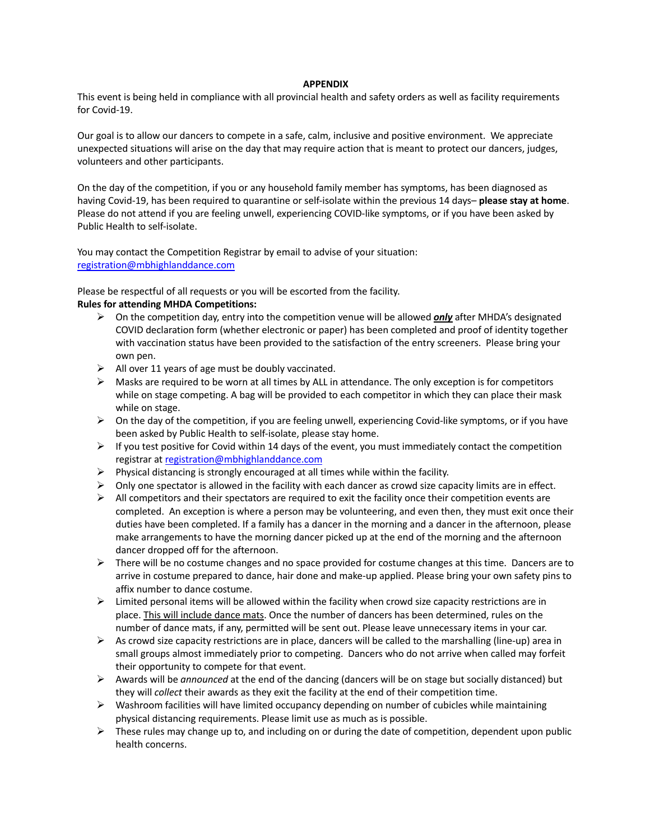### **APPENDIX**

This event is being held in compliance with all provincial health and safety orders as well as facility requirements for Covid-19.

Our goal is to allow our dancers to compete in a safe, calm, inclusive and positive environment. We appreciate unexpected situations will arise on the day that may require action that is meant to protect our dancers, judges, volunteers and other participants.

On the day of the competition, if you or any household family member has symptoms, has been diagnosed as having Covid-19, has been required to quarantine or self-isolate within the previous 14 days– **please stay at home**. Please do not attend if you are feeling unwell, experiencing COVID-like symptoms, or if you have been asked by Public Health to self-isolate.

You may contact the Competition Registrar by email to advise of your situation: registration@mbhighlanddance.com

Please be respectful of all requests or you will be escorted from the facility.

# **Rules for attending MHDA Competitions:**

- ! On the competition day, entry into the competition venue will be allowed *only* after MHDA's designated COVID declaration form (whether electronic or paper) has been completed and proof of identity together with vaccination status have been provided to the satisfaction of the entry screeners. Please bring your own pen.
- $\triangleright$  All over 11 years of age must be doubly vaccinated.
- $\triangleright$  Masks are required to be worn at all times by ALL in attendance. The only exception is for competitors while on stage competing. A bag will be provided to each competitor in which they can place their mask while on stage.
- $\triangleright$  On the day of the competition, if you are feeling unwell, experiencing Covid-like symptoms, or if you have been asked by Public Health to self-isolate, please stay home.
- $\triangleright$  If you test positive for Covid within 14 days of the event, you must immediately contact the competition registrar at registration@mbhighlanddance.com
- $\triangleright$  Physical distancing is strongly encouraged at all times while within the facility.
- $\triangleright$  Only one spectator is allowed in the facility with each dancer as crowd size capacity limits are in effect.
- $\triangleright$  All competitors and their spectators are required to exit the facility once their competition events are completed. An exception is where a person may be volunteering, and even then, they must exit once their duties have been completed. If a family has a dancer in the morning and a dancer in the afternoon, please make arrangements to have the morning dancer picked up at the end of the morning and the afternoon dancer dropped off for the afternoon.
- $\triangleright$  There will be no costume changes and no space provided for costume changes at this time. Dancers are to arrive in costume prepared to dance, hair done and make-up applied. Please bring your own safety pins to affix number to dance costume.
- $\triangleright$  Limited personal items will be allowed within the facility when crowd size capacity restrictions are in place. This will include dance mats. Once the number of dancers has been determined, rules on the number of dance mats, if any, permitted will be sent out. Please leave unnecessary items in your car.
- $\triangleright$  As crowd size capacity restrictions are in place, dancers will be called to the marshalling (line-up) area in small groups almost immediately prior to competing. Dancers who do not arrive when called may forfeit their opportunity to compete for that event.
- $\triangleright$  Awards will be *announced* at the end of the dancing (dancers will be on stage but socially distanced) but they will *collect* their awards as they exit the facility at the end of their competition time.
- $\triangleright$  Washroom facilities will have limited occupancy depending on number of cubicles while maintaining physical distancing requirements. Please limit use as much as is possible.
- $\triangleright$  These rules may change up to, and including on or during the date of competition, dependent upon public health concerns.